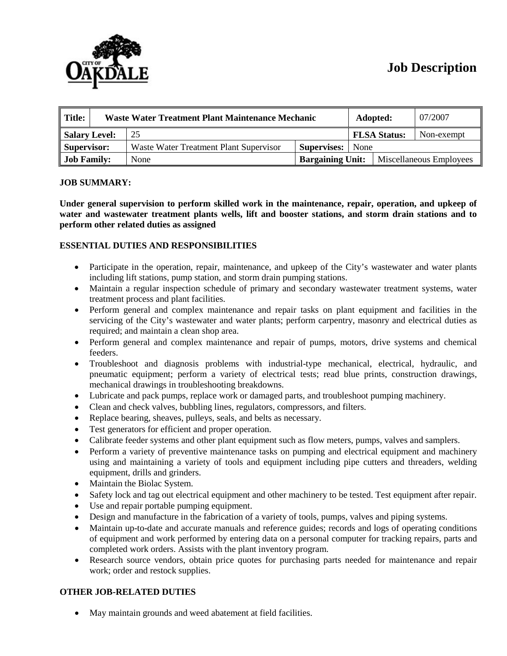

# **Job Description**

| Title:             | Waste Water Treatment Plant Maintenance Mechanic |                                        |                         | Adopted:            |                         | 07/2007    |
|--------------------|--------------------------------------------------|----------------------------------------|-------------------------|---------------------|-------------------------|------------|
| Salary Level:      |                                                  | 25                                     |                         | <b>FLSA Status:</b> |                         | Non-exempt |
| Supervisor:        |                                                  | Waste Water Treatment Plant Supervisor | <b>Supervises:</b>      | None                |                         |            |
| <b>Job Family:</b> |                                                  | None                                   | <b>Bargaining Unit:</b> |                     | Miscellaneous Employees |            |

#### **JOB SUMMARY:**

**Under general supervision to perform skilled work in the maintenance, repair, operation, and upkeep of water and wastewater treatment plants wells, lift and booster stations, and storm drain stations and to perform other related duties as assigned**

## **ESSENTIAL DUTIES AND RESPONSIBILITIES**

- Participate in the operation, repair, maintenance, and upkeep of the City's wastewater and water plants including lift stations, pump station, and storm drain pumping stations.
- Maintain a regular inspection schedule of primary and secondary wastewater treatment systems, water treatment process and plant facilities.
- Perform general and complex maintenance and repair tasks on plant equipment and facilities in the servicing of the City's wastewater and water plants; perform carpentry, masonry and electrical duties as required; and maintain a clean shop area.
- Perform general and complex maintenance and repair of pumps, motors, drive systems and chemical feeders.
- Troubleshoot and diagnosis problems with industrial-type mechanical, electrical, hydraulic, and pneumatic equipment; perform a variety of electrical tests; read blue prints, construction drawings, mechanical drawings in troubleshooting breakdowns.
- Lubricate and pack pumps, replace work or damaged parts, and troubleshoot pumping machinery.
- Clean and check valves, bubbling lines, regulators, compressors, and filters.
- Replace bearing, sheaves, pulleys, seals, and belts as necessary.
- Test generators for efficient and proper operation.
- Calibrate feeder systems and other plant equipment such as flow meters, pumps, valves and samplers.
- Perform a variety of preventive maintenance tasks on pumping and electrical equipment and machinery using and maintaining a variety of tools and equipment including pipe cutters and threaders, welding equipment, drills and grinders.
- Maintain the Biolac System.
- Safety lock and tag out electrical equipment and other machinery to be tested. Test equipment after repair.
- Use and repair portable pumping equipment.
- Design and manufacture in the fabrication of a variety of tools, pumps, valves and piping systems.
- Maintain up-to-date and accurate manuals and reference guides; records and logs of operating conditions of equipment and work performed by entering data on a personal computer for tracking repairs, parts and completed work orders. Assists with the plant inventory program.
- Research source vendors, obtain price quotes for purchasing parts needed for maintenance and repair work; order and restock supplies.

## **OTHER JOB-RELATED DUTIES**

• May maintain grounds and weed abatement at field facilities.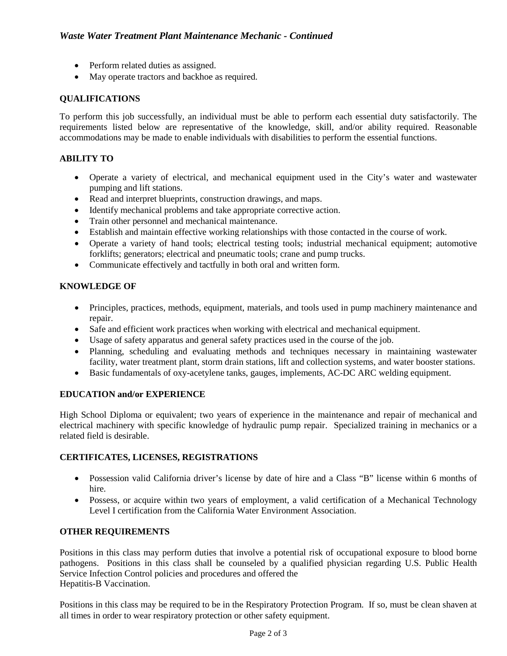- Perform related duties as assigned.
- May operate tractors and backhoe as required.

# **QUALIFICATIONS**

To perform this job successfully, an individual must be able to perform each essential duty satisfactorily. The requirements listed below are representative of the knowledge, skill, and/or ability required. Reasonable accommodations may be made to enable individuals with disabilities to perform the essential functions.

# **ABILITY TO**

- Operate a variety of electrical, and mechanical equipment used in the City's water and wastewater pumping and lift stations.
- Read and interpret blueprints, construction drawings, and maps.
- Identify mechanical problems and take appropriate corrective action.
- Train other personnel and mechanical maintenance.
- Establish and maintain effective working relationships with those contacted in the course of work.
- Operate a variety of hand tools; electrical testing tools; industrial mechanical equipment; automotive forklifts; generators; electrical and pneumatic tools; crane and pump trucks.
- Communicate effectively and tactfully in both oral and written form.

# **KNOWLEDGE OF**

- Principles, practices, methods, equipment, materials, and tools used in pump machinery maintenance and repair.
- Safe and efficient work practices when working with electrical and mechanical equipment.
- Usage of safety apparatus and general safety practices used in the course of the job.
- Planning, scheduling and evaluating methods and techniques necessary in maintaining wastewater facility, water treatment plant, storm drain stations, lift and collection systems, and water booster stations.
- Basic fundamentals of oxy-acetylene tanks, gauges, implements, AC-DC ARC welding equipment.

## **EDUCATION and/or EXPERIENCE**

High School Diploma or equivalent; two years of experience in the maintenance and repair of mechanical and electrical machinery with specific knowledge of hydraulic pump repair. Specialized training in mechanics or a related field is desirable.

## **CERTIFICATES, LICENSES, REGISTRATIONS**

- Possession valid California driver's license by date of hire and a Class "B" license within 6 months of hire.
- Possess, or acquire within two years of employment, a valid certification of a Mechanical Technology Level I certification from the California Water Environment Association.

## **OTHER REQUIREMENTS**

Positions in this class may perform duties that involve a potential risk of occupational exposure to blood borne pathogens. Positions in this class shall be counseled by a qualified physician regarding U.S. Public Health Service Infection Control policies and procedures and offered the Hepatitis-B Vaccination.

Positions in this class may be required to be in the Respiratory Protection Program. If so, must be clean shaven at all times in order to wear respiratory protection or other safety equipment.